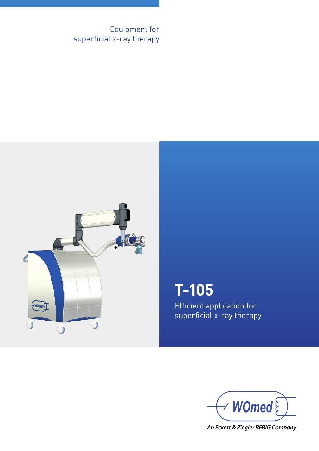## Equipment for superficial x-ray therapy



# **T-105**

Efficient application for superficial x-ray therapy



*An Eckert & Ziegler BEBIG Company*